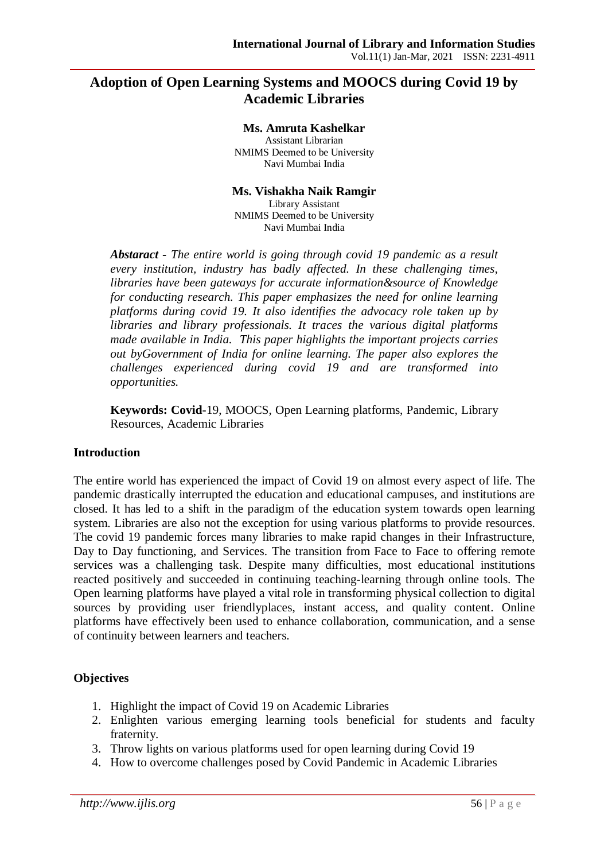# **Adoption of Open Learning Systems and MOOCS during Covid 19 by Academic Libraries**

#### **Ms. Amruta Kashelkar**

Assistant Librarian NMIMS Deemed to be University Navi Mumbai India

### **Ms. Vishakha Naik Ramgir**

Library Assistant NMIMS Deemed to be University Navi Mumbai India

*Abstaract - The entire world is going through covid 19 pandemic as a result every institution, industry has badly affected. In these challenging times, libraries have been gateways for accurate information&source of Knowledge for conducting research. This paper emphasizes the need for online learning platforms during covid 19. It also identifies the advocacy role taken up by libraries and library professionals. It traces the various digital platforms made available in India. This paper highlights the important projects carries out byGovernment of India for online learning. The paper also explores the challenges experienced during covid 19 and are transformed into opportunities.* 

**Keywords: Covid**-19, MOOCS, Open Learning platforms, Pandemic, Library Resources, Academic Libraries

### **Introduction**

The entire world has experienced the impact of Covid 19 on almost every aspect of life. The pandemic drastically interrupted the education and educational campuses, and institutions are closed. It has led to a shift in the paradigm of the education system towards open learning system. Libraries are also not the exception for using various platforms to provide resources. The covid 19 pandemic forces many libraries to make rapid changes in their Infrastructure, Day to Day functioning, and Services. The transition from Face to Face to offering remote services was a challenging task. Despite many difficulties, most educational institutions reacted positively and succeeded in continuing teaching-learning through online tools. The Open learning platforms have played a vital role in transforming physical collection to digital sources by providing user friendlyplaces, instant access, and quality content. Online platforms have effectively been used to enhance collaboration, communication, and a sense of continuity between learners and teachers.

# **Objectives**

- 1. Highlight the impact of Covid 19 on Academic Libraries
- 2. Enlighten various emerging learning tools beneficial for students and faculty fraternity.
- 3. Throw lights on various platforms used for open learning during Covid 19
- 4. How to overcome challenges posed by Covid Pandemic in Academic Libraries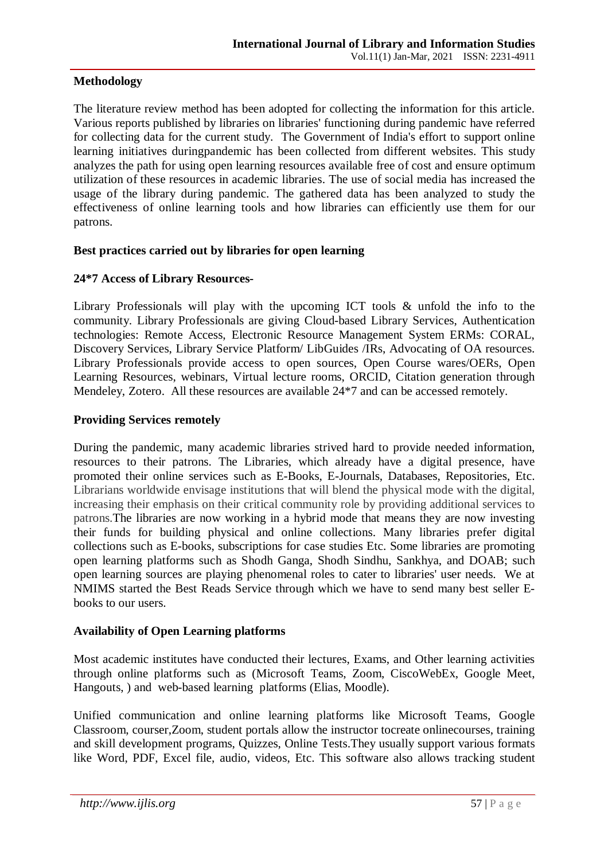# **Methodology**

The literature review method has been adopted for collecting the information for this article. Various reports published by libraries on libraries' functioning during pandemic have referred for collecting data for the current study. The Government of India's effort to support online learning initiatives duringpandemic has been collected from different websites. This study analyzes the path for using open learning resources available free of cost and ensure optimum utilization of these resources in academic libraries. The use of social media has increased the usage of the library during pandemic. The gathered data has been analyzed to study the effectiveness of online learning tools and how libraries can efficiently use them for our patrons.

### **Best practices carried out by libraries for open learning**

### **24\*7 Access of Library Resources-**

Library Professionals will play with the upcoming ICT tools & unfold the info to the community. Library Professionals are giving Cloud-based Library Services, Authentication technologies: Remote Access, Electronic Resource Management System ERMs: CORAL, Discovery Services, Library Service Platform/ LibGuides /IRs, Advocating of OA resources. Library Professionals provide access to open sources, Open Course wares/OERs, Open Learning Resources, webinars, Virtual lecture rooms, ORCID, Citation generation through Mendeley, Zotero. All these resources are available 24\*7 and can be accessed remotely.

### **Providing Services remotely**

During the pandemic, many academic libraries strived hard to provide needed information, resources to their patrons. The Libraries, which already have a digital presence, have promoted their online services such as E-Books, E-Journals, Databases, Repositories, Etc. Librarians worldwide envisage institutions that will blend the physical mode with the digital, increasing their emphasis on their critical community role by providing additional services to patrons.The libraries are now working in a hybrid mode that means they are now investing their funds for building physical and online collections. Many libraries prefer digital collections such as E-books, subscriptions for case studies Etc. Some libraries are promoting open learning platforms such as Shodh Ganga, Shodh Sindhu, Sankhya, and DOAB; such open learning sources are playing phenomenal roles to cater to libraries' user needs. We at NMIMS started the Best Reads Service through which we have to send many best seller Ebooks to our users.

# **Availability of Open Learning platforms**

Most academic institutes have conducted their lectures, Exams, and Other learning activities through online platforms such as (Microsoft Teams, Zoom, CiscoWebEx, Google Meet, Hangouts, ) and web-based learning platforms (Elias, Moodle).

Unified communication and online learning platforms like Microsoft Teams, Google Classroom, courser,Zoom, student portals allow the instructor tocreate onlinecourses, training and skill development programs, Quizzes, Online Tests.They usually support various formats like Word, PDF, Excel file, audio, videos, Etc. This software also allows tracking student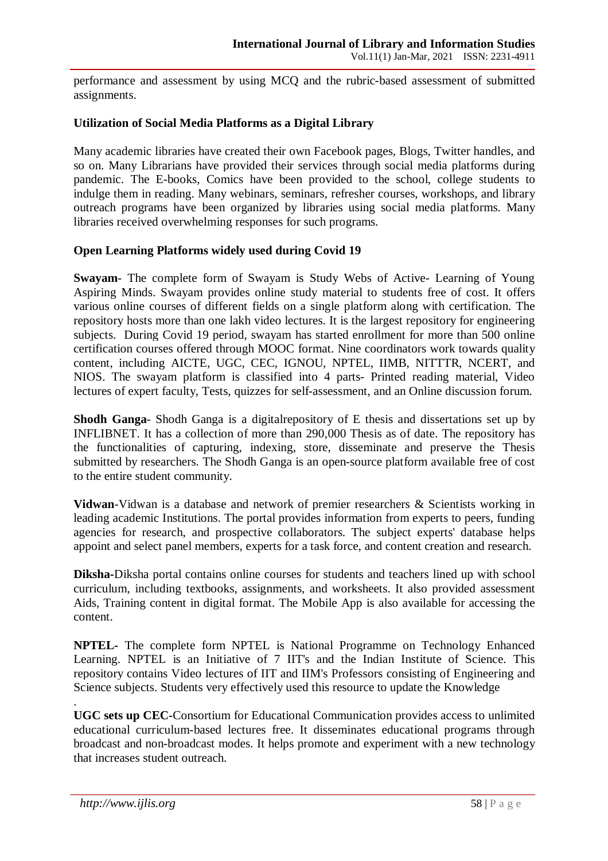performance and assessment by using MCQ and the rubric-based assessment of submitted assignments.

### **Utilization of Social Media Platforms as a Digital Library**

Many academic libraries have created their own Facebook pages, Blogs, Twitter handles, and so on. Many Librarians have provided their services through social media platforms during pandemic. The E-books, Comics have been provided to the school, college students to indulge them in reading. Many webinars, seminars, refresher courses, workshops, and library outreach programs have been organized by libraries using social media platforms. Many libraries received overwhelming responses for such programs.

### **Open Learning Platforms widely used during Covid 19**

**Swayam**- The complete form of Swayam is Study Webs of Active- Learning of Young Aspiring Minds. Swayam provides online study material to students free of cost. It offers various online courses of different fields on a single platform along with certification. The repository hosts more than one lakh video lectures. It is the largest repository for engineering subjects. During Covid 19 period, swayam has started enrollment for more than 500 online certification courses offered through MOOC format. Nine coordinators work towards quality content, including AICTE, UGC, CEC, IGNOU, NPTEL, IIMB, NITTTR, NCERT, and NIOS. The swayam platform is classified into 4 parts- Printed reading material, Video lectures of expert faculty, Tests, quizzes for self-assessment, and an Online discussion forum.

**Shodh Ganga**- Shodh Ganga is a digitalrepository of E thesis and dissertations set up by INFLIBNET. It has a collection of more than 290,000 Thesis as of date. The repository has the functionalities of capturing, indexing, store, disseminate and preserve the Thesis submitted by researchers. The Shodh Ganga is an open-source platform available free of cost to the entire student community.

**Vidwan**-Vidwan is a database and network of premier researchers & Scientists working in leading academic Institutions. The portal provides information from experts to peers, funding agencies for research, and prospective collaborators. The subject experts' database helps appoint and select panel members, experts for a task force, and content creation and research.

**Diksha-**Diksha portal contains online courses for students and teachers lined up with school curriculum, including textbooks, assignments, and worksheets. It also provided assessment Aids, Training content in digital format. The Mobile App is also available for accessing the content.

**NPTEL-** The complete form NPTEL is National Programme on Technology Enhanced Learning. NPTEL is an Initiative of 7 IIT's and the Indian Institute of Science. This repository contains Video lectures of IIT and IIM's Professors consisting of Engineering and Science subjects. Students very effectively used this resource to update the Knowledge

**UGC sets up CEC-**Consortium for Educational Communication provides access to unlimited educational curriculum-based lectures free. It disseminates educational programs through broadcast and non-broadcast modes. It helps promote and experiment with a new technology that increases student outreach.

.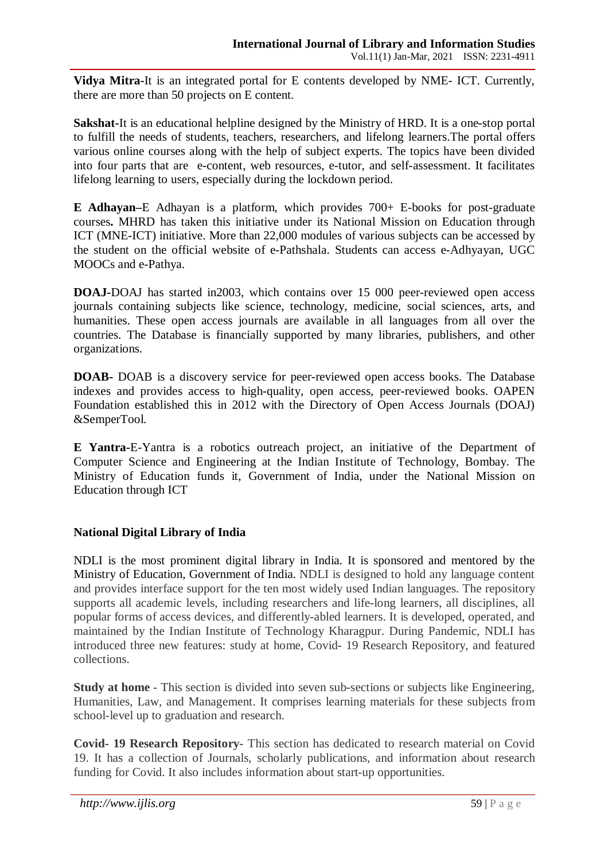**Vidya Mitra-**It is an integrated portal for E contents developed by NME- ICT. Currently, there are more than 50 projects on E content.

**Sakshat-**It is an educational helpline designed by the Ministry of HRD. It is a one-stop portal to fulfill the needs of students, teachers, researchers, and lifelong learners.The portal offers various online courses along with the help of subject experts. The topics have been divided into four parts that are e-content, web resources, e-tutor, and self-assessment. It facilitates lifelong learning to users, especially during the lockdown period.

**E Adhayan–**E Adhayan is a platform, which provides 700+ E-books for post-graduate courses**.** MHRD has taken this initiative under its National Mission on Education through ICT (MNE-ICT) initiative. More than 22,000 modules of various subjects can be accessed by the student on the official website of e-Pathshala. Students can access e-Adhyayan, UGC MOOCs and e-Pathya.

**DOAJ-**DOAJ has started in2003, which contains over 15 000 peer-reviewed open access journals containing subjects like science, technology, medicine, social sciences, arts, and humanities. These open access journals are available in all languages from all over the countries. The Database is financially supported by many libraries, publishers, and other organizations.

**DOAB-** DOAB is a discovery service for peer-reviewed open access books. The Database indexes and provides access to high-quality, open access, peer-reviewed books. OAPEN Foundation established this in 2012 with the Directory of Open Access Journals (DOAJ) &SemperTool.

**E Yantra-**E-Yantra is a robotics outreach project, an initiative of the Department of Computer Science and Engineering at the Indian Institute of Technology, Bombay. The Ministry of Education funds it, Government of India, under the National Mission on Education through ICT

# **National Digital Library of India**

NDLI is the most prominent digital library in India. It is sponsored and mentored by the Ministry of Education, Government of India. NDLI is designed to hold any language content and provides interface support for the ten most widely used Indian languages. The repository supports all academic levels, including researchers and life-long learners, all disciplines, all popular forms of access devices, and differently-abled learners. It is developed, operated, and maintained by the Indian Institute of Technology Kharagpur. During Pandemic, NDLI has introduced three new features: study at home, Covid- 19 Research Repository, and featured collections.

**Study at home** - This section is divided into seven sub-sections or subjects like Engineering, Humanities, Law, and Management. It comprises learning materials for these subjects from school-level up to graduation and research.

**Covid- 19 Research Repository**- This section has dedicated to research material on Covid 19. It has a collection of Journals, scholarly publications, and information about research funding for Covid. It also includes information about start-up opportunities.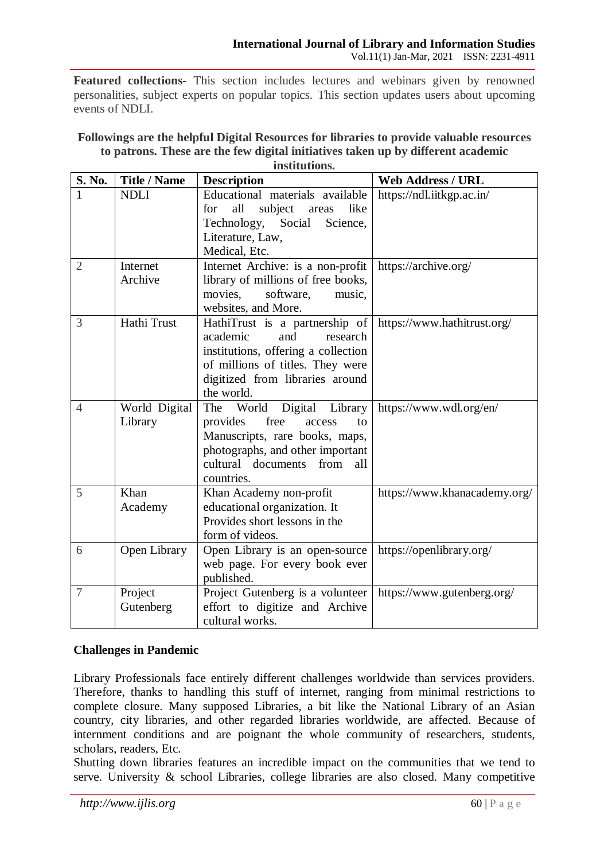**Featured collections-** This section includes lectures and webinars given by renowned personalities, subject experts on popular topics. This section updates users about upcoming events of NDLI.

| S. No.         | <b>Title / Name</b>      | <b>Description</b>                                                                                                                                                                           | <b>Web Address / URL</b>     |
|----------------|--------------------------|----------------------------------------------------------------------------------------------------------------------------------------------------------------------------------------------|------------------------------|
|                | <b>NDLI</b>              | Educational materials available<br>all<br>subject<br>like<br>for<br>areas<br>Technology, Social<br>Science,<br>Literature, Law,                                                              | https://ndl.iitkgp.ac.in/    |
|                |                          | Medical, Etc.                                                                                                                                                                                |                              |
| $\overline{2}$ | Internet<br>Archive      | Internet Archive: is a non-profit<br>library of millions of free books,<br>movies,<br>software,<br>music,<br>websites, and More.                                                             | https://archive.org/         |
| 3              | Hathi Trust              | HathiTrust is a partnership of<br>academic<br>and<br>research<br>institutions, offering a collection<br>of millions of titles. They were<br>digitized from libraries around<br>the world.    | https://www.hathitrust.org/  |
| $\overline{4}$ | World Digital<br>Library | Digital Library<br>The<br>World<br>free<br>provides<br>access<br>to<br>Manuscripts, rare books, maps,<br>photographs, and other important<br>cultural documents<br>from<br>all<br>countries. | https://www.wdl.org/en/      |
| 5              | Khan<br>Academy          | Khan Academy non-profit<br>educational organization. It<br>Provides short lessons in the<br>form of videos.                                                                                  | https://www.khanacademy.org/ |
| 6              | Open Library             | Open Library is an open-source<br>web page. For every book ever<br>published.                                                                                                                | https://openlibrary.org/     |
| 7              | Project<br>Gutenberg     | Project Gutenberg is a volunteer<br>effort to digitize and Archive<br>cultural works.                                                                                                        | https://www.gutenberg.org/   |

#### **Followings are the helpful Digital Resources for libraries to provide valuable resources to patrons. These are the few digital initiatives taken up by different academic institutions.**

# **Challenges in Pandemic**

Library Professionals face entirely different challenges worldwide than services providers. Therefore, thanks to handling this stuff of internet, ranging from minimal restrictions to complete closure. Many supposed Libraries, a bit like the National Library of an Asian country, city libraries, and other regarded libraries worldwide, are affected. Because of internment conditions and are poignant the whole community of researchers, students, scholars, readers, Etc.

Shutting down libraries features an incredible impact on the communities that we tend to serve. University & school Libraries, college libraries are also closed. Many competitive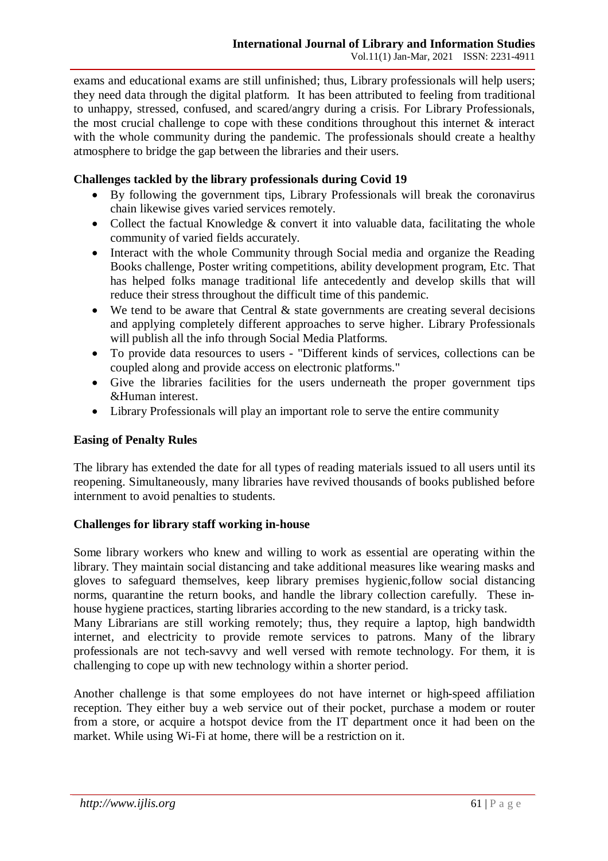exams and educational exams are still unfinished; thus, Library professionals will help users; they need data through the digital platform. It has been attributed to feeling from traditional to unhappy, stressed, confused, and scared/angry during a crisis. For Library Professionals, the most crucial challenge to cope with these conditions throughout this internet & interact with the whole community during the pandemic. The professionals should create a healthy atmosphere to bridge the gap between the libraries and their users.

# **Challenges tackled by the library professionals during Covid 19**

- By following the government tips, Library Professionals will break the coronavirus chain likewise gives varied services remotely.
- Collect the factual Knowledge  $\&$  convert it into valuable data, facilitating the whole community of varied fields accurately.
- Interact with the whole Community through Social media and organize the Reading Books challenge, Poster writing competitions, ability development program, Etc. That has helped folks manage traditional life antecedently and develop skills that will reduce their stress throughout the difficult time of this pandemic.
- We tend to be aware that Central & state governments are creating several decisions and applying completely different approaches to serve higher. Library Professionals will publish all the info through Social Media Platforms.
- To provide data resources to users "Different kinds of services, collections can be coupled along and provide access on electronic platforms."
- Give the libraries facilities for the users underneath the proper government tips &Human interest.
- Library Professionals will play an important role to serve the entire community

# **Easing of Penalty Rules**

The library has extended the date for all types of reading materials issued to all users until its reopening. Simultaneously, many libraries have revived thousands of books published before internment to avoid penalties to students.

# **Challenges for library staff working in-house**

Some library workers who knew and willing to work as essential are operating within the library. They maintain social distancing and take additional measures like wearing masks and gloves to safeguard themselves, keep library premises hygienic,follow social distancing norms, quarantine the return books, and handle the library collection carefully. These inhouse hygiene practices, starting libraries according to the new standard, is a tricky task.

Many Librarians are still working remotely; thus, they require a laptop, high bandwidth internet, and electricity to provide remote services to patrons. Many of the library professionals are not tech-savvy and well versed with remote technology. For them, it is challenging to cope up with new technology within a shorter period.

Another challenge is that some employees do not have internet or high-speed affiliation reception. They either buy a web service out of their pocket, purchase a modem or router from a store, or acquire a hotspot device from the IT department once it had been on the market. While using Wi-Fi at home, there will be a restriction on it.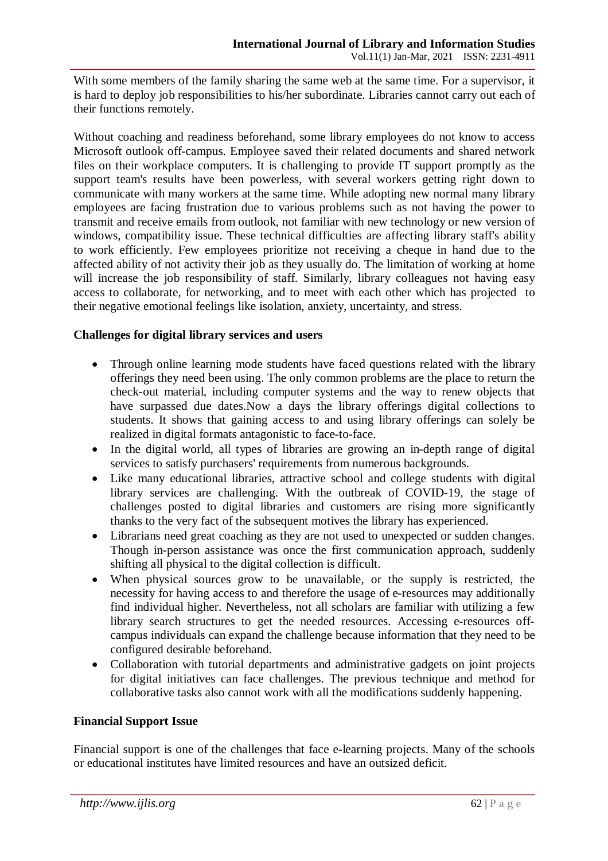With some members of the family sharing the same web at the same time. For a supervisor, it is hard to deploy job responsibilities to his/her subordinate. Libraries cannot carry out each of their functions remotely.

Without coaching and readiness beforehand, some library employees do not know to access Microsoft outlook off-campus. Employee saved their related documents and shared network files on their workplace computers. It is challenging to provide IT support promptly as the support team's results have been powerless, with several workers getting right down to communicate with many workers at the same time. While adopting new normal many library employees are facing frustration due to various problems such as not having the power to transmit and receive emails from outlook, not familiar with new technology or new version of windows, compatibility issue. These technical difficulties are affecting library staff's ability to work efficiently. Few employees prioritize not receiving a cheque in hand due to the affected ability of not activity their job as they usually do. The limitation of working at home will increase the job responsibility of staff. Similarly, library colleagues not having easy access to collaborate, for networking, and to meet with each other which has projected to their negative emotional feelings like isolation, anxiety, uncertainty, and stress.

# **Challenges for digital library services and users**

- Through online learning mode students have faced questions related with the library offerings they need been using. The only common problems are the place to return the check-out material, including computer systems and the way to renew objects that have surpassed due dates.Now a days the library offerings digital collections to students. It shows that gaining access to and using library offerings can solely be realized in digital formats antagonistic to face-to-face.
- In the digital world, all types of libraries are growing an in-depth range of digital services to satisfy purchasers' requirements from numerous backgrounds.
- Like many educational libraries, attractive school and college students with digital library services are challenging. With the outbreak of COVID-19, the stage of challenges posted to digital libraries and customers are rising more significantly thanks to the very fact of the subsequent motives the library has experienced.
- Librarians need great coaching as they are not used to unexpected or sudden changes. Though in-person assistance was once the first communication approach, suddenly shifting all physical to the digital collection is difficult.
- When physical sources grow to be unavailable, or the supply is restricted, the necessity for having access to and therefore the usage of e-resources may additionally find individual higher. Nevertheless, not all scholars are familiar with utilizing a few library search structures to get the needed resources. Accessing e-resources offcampus individuals can expand the challenge because information that they need to be configured desirable beforehand.
- Collaboration with tutorial departments and administrative gadgets on joint projects for digital initiatives can face challenges. The previous technique and method for collaborative tasks also cannot work with all the modifications suddenly happening.

# **Financial Support Issue**

Financial support is one of the challenges that face e-learning projects. Many of the schools or educational institutes have limited resources and have an outsized deficit.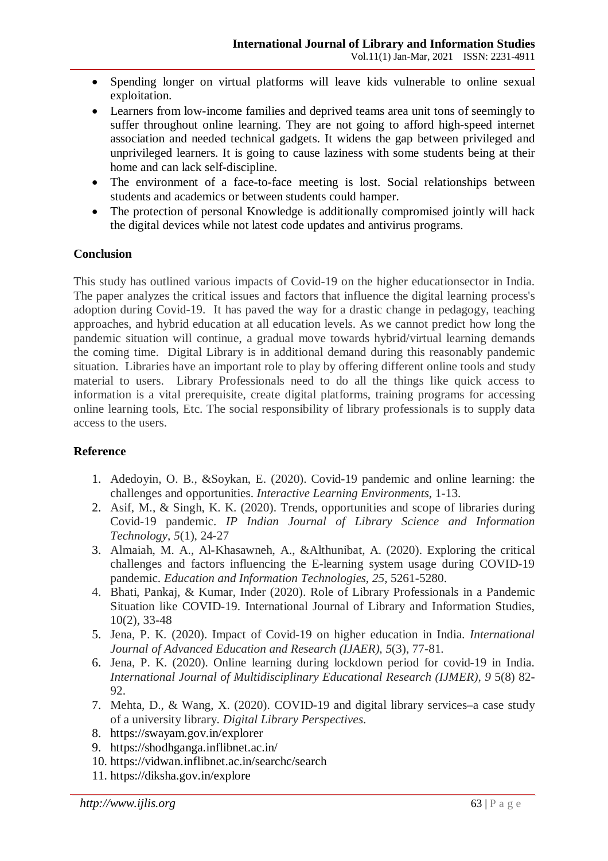- Spending longer on virtual platforms will leave kids vulnerable to online sexual exploitation.
- Learners from low-income families and deprived teams area unit tons of seemingly to suffer throughout online learning. They are not going to afford high-speed internet association and needed technical gadgets. It widens the gap between privileged and unprivileged learners. It is going to cause laziness with some students being at their home and can lack self-discipline.
- The environment of a face-to-face meeting is lost. Social relationships between students and academics or between students could hamper.
- The protection of personal Knowledge is additionally compromised jointly will hack the digital devices while not latest code updates and antivirus programs.

# **Conclusion**

This study has outlined various impacts of Covid-19 on the higher educationsector in India. The paper analyzes the critical issues and factors that influence the digital learning process's adoption during Covid-19. It has paved the way for a drastic change in pedagogy, teaching approaches, and hybrid education at all education levels. As we cannot predict how long the pandemic situation will continue, a gradual move towards hybrid/virtual learning demands the coming time. Digital Library is in additional demand during this reasonably pandemic situation. Libraries have an important role to play by offering different online tools and study material to users. Library Professionals need to do all the things like quick access to information is a vital prerequisite, create digital platforms, training programs for accessing online learning tools, Etc. The social responsibility of library professionals is to supply data access to the users.

# **Reference**

- 1. Adedoyin, O. B., &Soykan, E. (2020). Covid-19 pandemic and online learning: the challenges and opportunities. *Interactive Learning Environments*, 1-13.
- 2. Asif, M., & Singh, K. K. (2020). Trends, opportunities and scope of libraries during Covid-19 pandemic. *IP Indian Journal of Library Science and Information Technology*, *5*(1), 24-27
- 3. Almaiah, M. A., Al-Khasawneh, A., &Althunibat, A. (2020). Exploring the critical challenges and factors influencing the E-learning system usage during COVID-19 pandemic. *Education and Information Technologies*, *25*, 5261-5280.
- 4. Bhati, Pankaj, & Kumar, Inder (2020). Role of Library Professionals in a Pandemic Situation like COVID-19. International Journal of Library and Information Studies, 10(2), 33-48
- 5. Jena, P. K. (2020). Impact of Covid-19 on higher education in India. *International Journal of Advanced Education and Research (IJAER)*, *5*(3), 77-81.
- 6. Jena, P. K. (2020). Online learning during lockdown period for covid-19 in India. *International Journal of Multidisciplinary Educational Research (IJMER)*, *9* 5(8) 82- 92.
- 7. Mehta, D., & Wang, X. (2020). COVID-19 and digital library services–a case study of a university library. *Digital Library Perspectives*.
- 8. https://swayam.gov.in/explorer
- 9. https://shodhganga.inflibnet.ac.in/
- 10. https://vidwan.inflibnet.ac.in/searchc/search
- 11. https://diksha.gov.in/explore